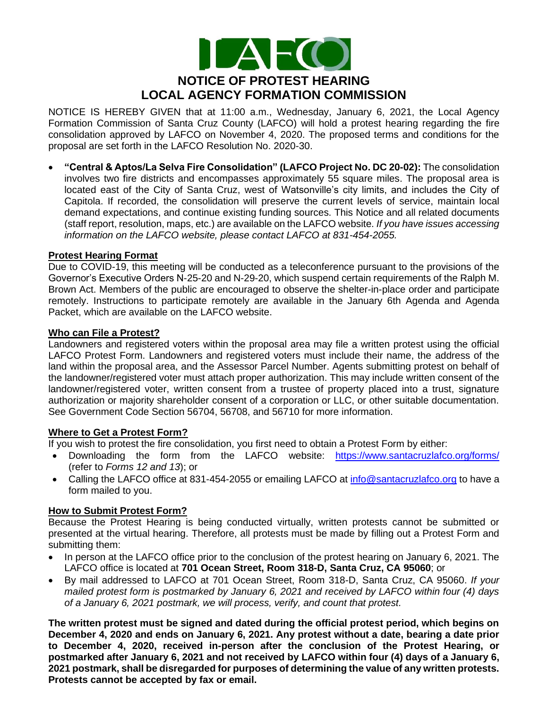

NOTICE IS HEREBY GIVEN that at 11:00 a.m., Wednesday, January 6, 2021, the Local Agency Formation Commission of Santa Cruz County (LAFCO) will hold a protest hearing regarding the fire consolidation approved by LAFCO on November 4, 2020. The proposed terms and conditions for the proposal are set forth in the LAFCO Resolution No. 2020-30.

• **"Central & Aptos/La Selva Fire Consolidation" (LAFCO Project No. DC 20-02):** The consolidation involves two fire districts and encompasses approximately 55 square miles. The proposal area is located east of the City of Santa Cruz, west of Watsonville's city limits, and includes the City of Capitola. If recorded, the consolidation will preserve the current levels of service, maintain local demand expectations, and continue existing funding sources. This Notice and all related documents (staff report, resolution, maps, etc.) are available on the LAFCO website. *If you have issues accessing information on the LAFCO website, please contact LAFCO at 831-454-2055.*

# **Protest Hearing Format**

Due to COVID-19, this meeting will be conducted as a teleconference pursuant to the provisions of the Governor's Executive Orders N-25-20 and N-29-20, which suspend certain requirements of the Ralph M. Brown Act. Members of the public are encouraged to observe the shelter-in-place order and participate remotely. Instructions to participate remotely are available in the January 6th Agenda and Agenda Packet, which are available on the LAFCO website.

### **Who can File a Protest?**

Landowners and registered voters within the proposal area may file a written protest using the official LAFCO Protest Form. Landowners and registered voters must include their name, the address of the land within the proposal area, and the Assessor Parcel Number. Agents submitting protest on behalf of the landowner/registered voter must attach proper authorization. This may include written consent of the landowner/registered voter, written consent from a trustee of property placed into a trust, signature authorization or majority shareholder consent of a corporation or LLC, or other suitable documentation. See Government Code Section 56704, 56708, and 56710 for more information.

### **Where to Get a Protest Form?**

If you wish to protest the fire consolidation, you first need to obtain a Protest Form by either:

- Downloading the form from the LAFCO website: <https://www.santacruzlafco.org/forms/> (refer to *Forms 12 and 13*); or
- Calling the LAFCO office at 831-454-2055 or emailing LAFCO at [info@santacruzlafco.org](mailto:info@santacruzlafco.org) to have a form mailed to you.

### **How to Submit Protest Form?**

Because the Protest Hearing is being conducted virtually, written protests cannot be submitted or presented at the virtual hearing. Therefore, all protests must be made by filling out a Protest Form and submitting them:

- In person at the LAFCO office prior to the conclusion of the protest hearing on January 6, 2021. The LAFCO office is located at **701 Ocean Street, Room 318-D, Santa Cruz, CA 95060**; or
- By mail addressed to LAFCO at 701 Ocean Street, Room 318-D, Santa Cruz, CA 95060. *If your mailed protest form is postmarked by January 6, 2021 and received by LAFCO within four (4) days of a January 6, 2021 postmark, we will process, verify, and count that protest.*

**The written protest must be signed and dated during the official protest period, which begins on December 4, 2020 and ends on January 6, 2021. Any protest without a date, bearing a date prior to December 4, 2020, received in-person after the conclusion of the Protest Hearing, or postmarked after January 6, 2021 and not received by LAFCO within four (4) days of a January 6, 2021 postmark, shall be disregarded for purposes of determining the value of any written protests. Protests cannot be accepted by fax or email.**